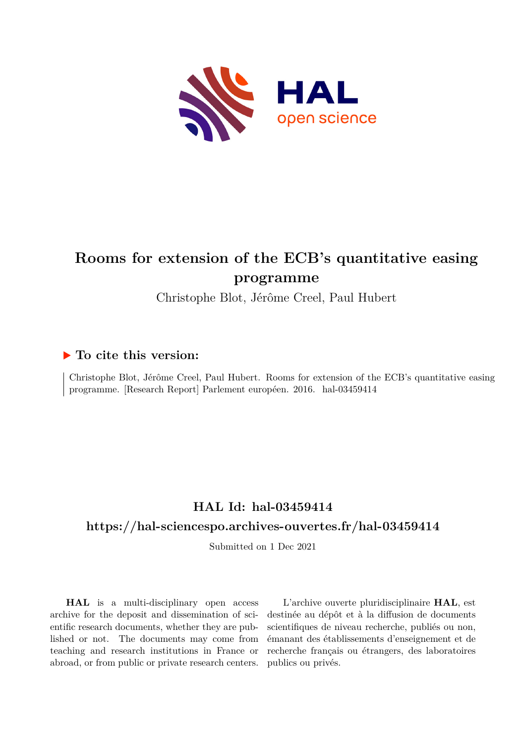

# **Rooms for extension of the ECB's quantitative easing programme**

Christophe Blot, Jérôme Creel, Paul Hubert

### **To cite this version:**

Christophe Blot, Jérôme Creel, Paul Hubert. Rooms for extension of the ECB's quantitative easing programme. [Research Report] Parlement européen. 2016. hal-03459414

# **HAL Id: hal-03459414 <https://hal-sciencespo.archives-ouvertes.fr/hal-03459414>**

Submitted on 1 Dec 2021

**HAL** is a multi-disciplinary open access archive for the deposit and dissemination of scientific research documents, whether they are published or not. The documents may come from teaching and research institutions in France or abroad, or from public or private research centers.

L'archive ouverte pluridisciplinaire **HAL**, est destinée au dépôt et à la diffusion de documents scientifiques de niveau recherche, publiés ou non, émanant des établissements d'enseignement et de recherche français ou étrangers, des laboratoires publics ou privés.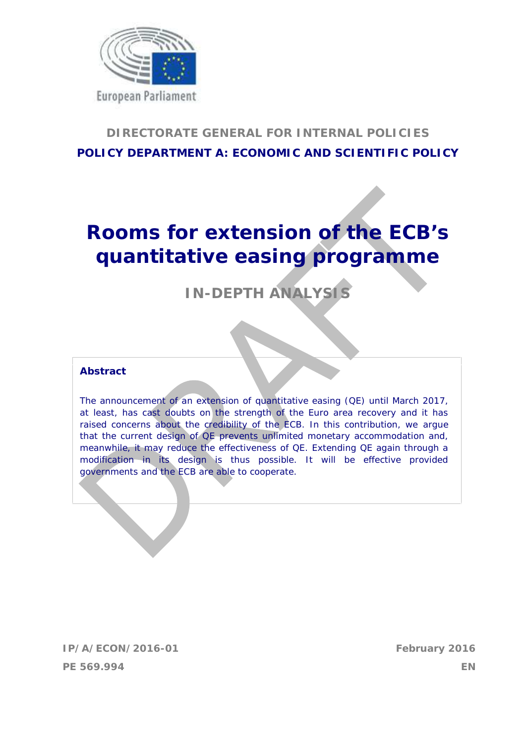

# **DIRECTORATE GENERAL FOR INTERNAL POLICIES POLICY DEPARTMENT A: ECONOMIC AND SCIENTIFIC POLICY**

# **Rooms for extension of the ECB's quantitative easing programme**

# **IN-DEPTH ANALYSIS**

### **Abstract**

The announcement of an extension of quantitative easing (QE) until March 2017, at least, has cast doubts on the strength of the Euro area recovery and it has raised concerns about the credibility of the ECB. In this contribution, we argue that the current design of QE prevents unlimited monetary accommodation and, meanwhile, it may reduce the effectiveness of QE. Extending QE again through a modification in its design is thus possible. It will be effective provided governments and the ECB are able to cooperate.

**IP/A/ECON/2016-01 February 2016 PE 569.994 EN**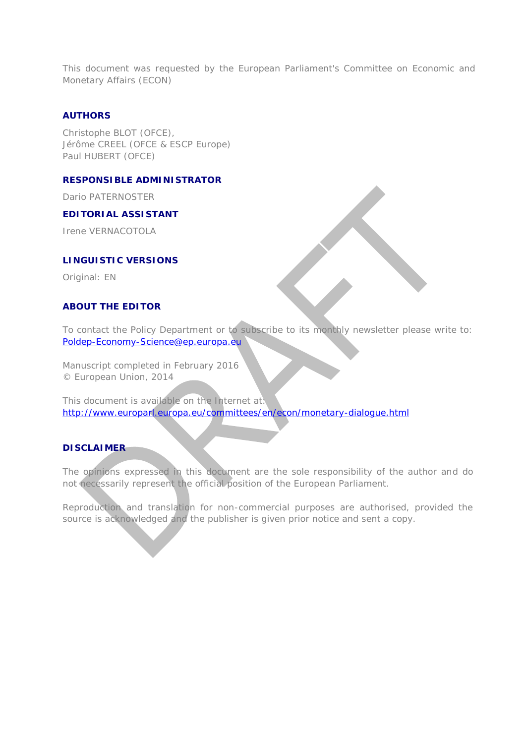This document was requested by the European Parliament's Committee on Economic and Monetary Affairs (ECON)

#### **AUTHORS**

Christophe BLOT (OFCE), Jérôme CREEL (OFCE & ESCP Europe) Paul HUBERT (OFCE)

### **RESPONSIBLE ADMINISTRATOR**

Dario PATERNOSTER

#### **EDITORIAL ASSISTANT**

Irene VERNACOTOLA

#### **LINGUISTIC VERSIONS**

Original: EN

### **ABOUT THE EDITOR**

To contact the Policy Department or to subscribe to its monthly newsletter please write to: Poldep-Economy-Science@ep.europa.eu

Manuscript completed in February 2016 © European Union, 2014

This document is available on the Internet at: http://www.europarl.europa.eu/committees/en/econ/monetary-dialogue.html

### **DISCLAIMER**

The opinions expressed in this document are the sole responsibility of the author and do not necessarily represent the official position of the European Parliament.

Reproduction and translation for non-commercial purposes are authorised, provided the source is acknowledged and the publisher is given prior notice and sent a copy.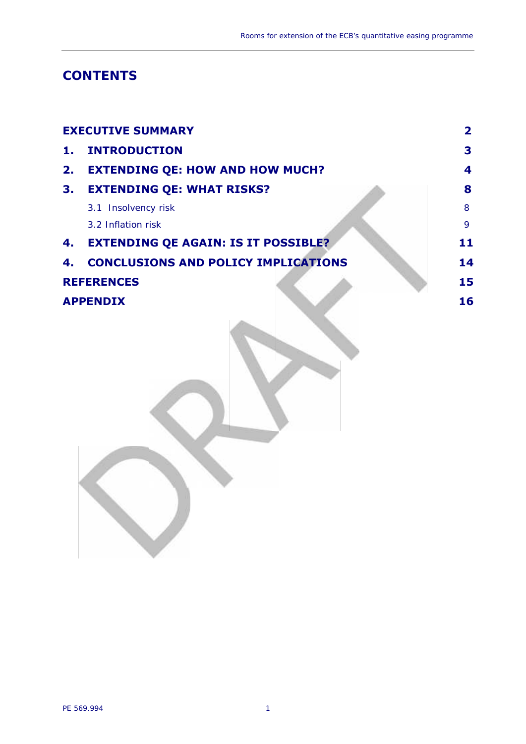# **CONTENTS**

|                   | <b>EXECUTIVE SUMMARY</b>                   | 2  |
|-------------------|--------------------------------------------|----|
| 1.                | <b>INTRODUCTION</b>                        | 3  |
| 2.                | <b>EXTENDING QE: HOW AND HOW MUCH?</b>     | 4  |
| 3.                | <b>EXTENDING QE: WHAT RISKS?</b>           | 8  |
|                   | 3.1 Insolvency risk                        | 8  |
|                   | 3.2 Inflation risk                         | 9  |
| 4.                | <b>EXTENDING QE AGAIN: IS IT POSSIBLE?</b> | 11 |
| 4.                | <b>CONCLUSIONS AND POLICY IMPLICATIONS</b> | 14 |
| <b>REFERENCES</b> | 15                                         |    |
| <b>APPENDIX</b>   | 16                                         |    |
|                   |                                            |    |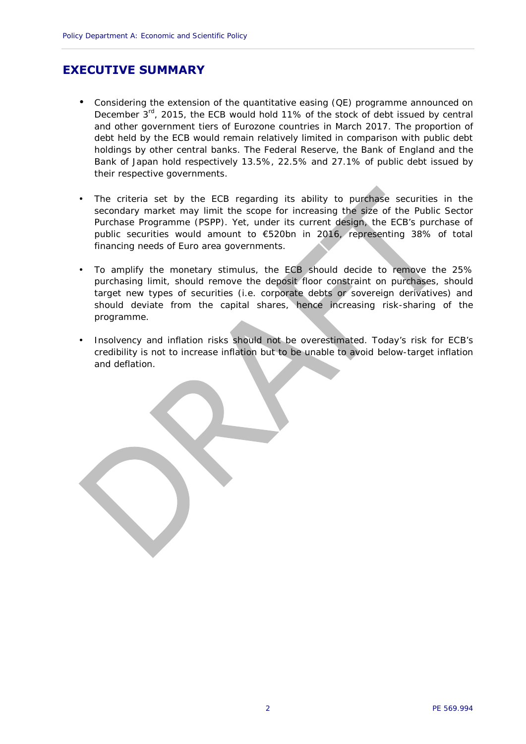### **EXECUTIVE SUMMARY**

- Considering the extension of the quantitative easing (QE) programme announced on December 3<sup>rd</sup>, 2015, the ECB would hold 11% of the stock of debt issued by central and other government tiers of Eurozone countries in March 2017. The proportion of debt held by the ECB would remain relatively limited in comparison with public debt holdings by other central banks. The Federal Reserve, the Bank of England and the Bank of Japan hold respectively 13.5%, 22.5% and 27.1% of public debt issued by their respective governments.
- The criteria set by the ECB regarding its ability to purchase securities in the secondary market may limit the scope for increasing the size of the Public Sector Purchase Programme (PSPP). Yet, under its current design, the ECB's purchase of public securities would amount to €520bn in 2016, representing 38% of total financing needs of Euro area governments.
- To amplify the monetary stimulus, the ECB should decide to remove the 25% purchasing limit, should remove the deposit floor constraint on purchases, should target new types of securities (i.e. corporate debts or sovereign derivatives) and should deviate from the capital shares, hence increasing risk-sharing of the programme.
- Insolvency and inflation risks should not be overestimated. Today's risk for ECB's credibility is not to increase inflation but to be unable to avoid below-target inflation and deflation.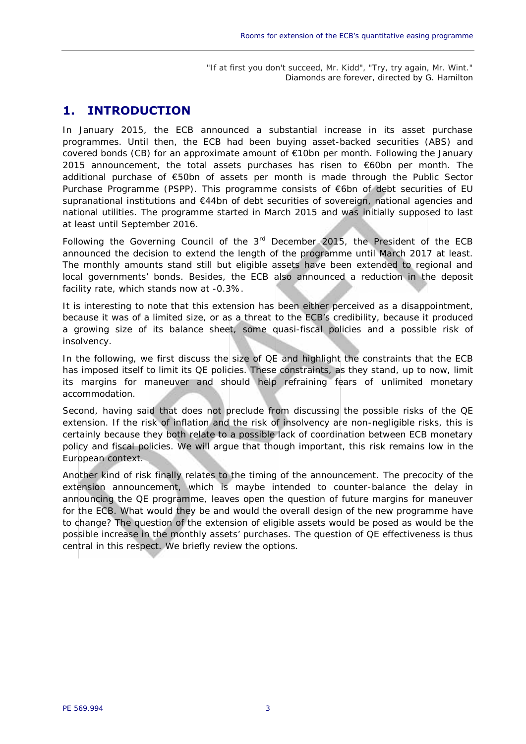"If at first you don't succeed, Mr. Kidd", "Try, try again, Mr. Wint." *Diamonds are forever*, directed by G. Hamilton

### **1. INTRODUCTION**

In January 2015, the ECB announced a substantial increase in its asset purchase programmes. Until then, the ECB had been buying asset-backed securities (ABS) and covered bonds (CB) for an approximate amount of €10bn per month. Following the January 2015 announcement, the total assets purchases has risen to  $\epsilon$ 60bn per month. The additional purchase of €50bn of assets per month is made through the Public Sector Purchase Programme (PSPP). This programme consists of €6bn of debt securities of EU supranational institutions and €44bn of debt securities of sovereign, national agencies and national utilities. The programme started in March 2015 and was initially supposed to last at least until September 2016.

Following the Governing Council of the  $3<sup>rd</sup>$  December 2015, the President of the ECB announced the decision to extend the length of the programme until March 2017 at least. The monthly amounts stand still but eligible assets have been extended to regional and local governments' bonds. Besides, the ECB also announced a reduction in the deposit facility rate, which stands now at -0.3%.

It is interesting to note that this extension has been either perceived as a disappointment, because it was of a limited size, or as a threat to the ECB's credibility, because it produced a growing size of its balance sheet, some quasi-fiscal policies and a possible risk of insolvency.

In the following, we first discuss the size of QE and highlight the constraints that the ECB has imposed itself to limit its QE policies. These constraints, as they stand, up to now, limit its margins for maneuver and should help refraining fears of *unlimited* monetary accommodation.

Second, having said that does not preclude from discussing the possible risks of the QE extension. If the risk of inflation and the risk of insolvency are non-negligible risks, this is certainly because they both relate to a possible lack of coordination between ECB monetary policy and fiscal policies. We will argue that though important, this risk remains low in the European context.

Another kind of risk finally relates to the timing of the announcement. The precocity of the extension announcement, which is maybe intended to counter-balance the delay in announcing the QE programme, leaves open the question of future margins for maneuver for the ECB. What would they be and would the overall design of the new programme have to change? The question of the extension of eligible assets would be posed as would be the possible increase in the monthly assets' purchases. The question of QE effectiveness is thus central in this respect. We briefly review the options.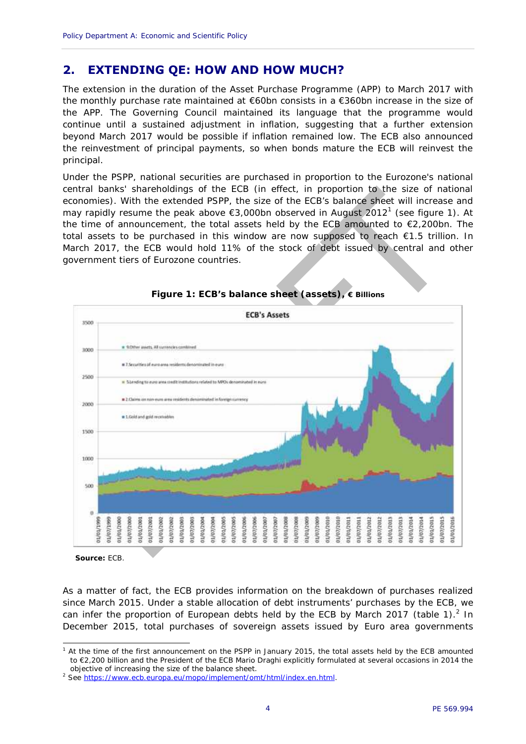# **2. EXTENDING QE: HOW AND HOW MUCH?**

The extension in the duration of the Asset Purchase Programme (APP) to March 2017 with the monthly purchase rate maintained at €60bn consists in a €360bn increase in the size of the APP. The Governing Council maintained its language that the programme would continue until a sustained adjustment in inflation, suggesting that a further extension beyond March 2017 would be possible if inflation remained low. The ECB also announced the reinvestment of principal payments, so when bonds mature the ECB will reinvest the principal.

Under the PSPP, national securities are purchased in proportion to the Eurozone's national central banks' shareholdings of the ECB (in effect, in proportion to the size of national economies). With the extended PSPP, the size of the ECB's balance sheet will increase and may rapidly resume the peak above  $\epsilon$ 3,000bn observed in August 2012<sup>1</sup> (see figure 1). At the time of announcement, the total assets held by the ECB amounted to  $\epsilon$ 2,200bn. The total assets to be purchased in this window are now supposed to reach €1.5 trillion. In March 2017, the ECB would hold 11% of the stock of debt issued by central and other government tiers of Eurozone countries.



**Figure 1: ECB's balance sheet (assets), € Billions**

*Source:* ECB.

As a matter of fact, the ECB provides information on the breakdown of purchases realized since March 2015. Under a stable allocation of debt instruments' purchases by the ECB, we can infer the proportion of European debts held by the ECB by March 2017 (table 1).<sup>2</sup> In December 2015, total purchases of sovereign assets issued by Euro area governments

<sup>&</sup>lt;sup>1</sup> At the time of the first announcement on the PSPP in January 2015, the total assets held by the ECB amounted to €2,200 billion and the President of the ECB Mario Draghi explicitly formulated at several occasions in 2014 the objective of increasing the size of the balance sheet.

<sup>2</sup> See https://www.ecb.europa.eu/mopo/implement/omt/html/index.en.html.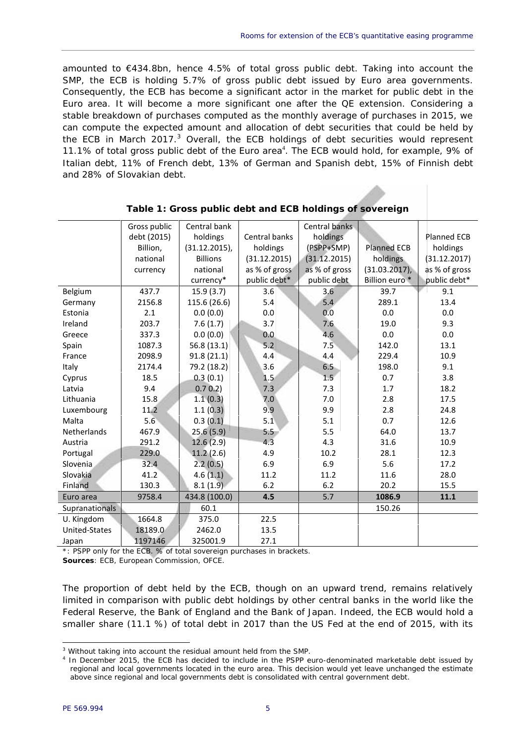amounted to €434.8bn, hence 4.5% of total gross public debt. Taking into account the SMP, the ECB is holding 5.7% of gross public debt issued by Euro area governments. Consequently, the ECB has become a significant actor in the market for public debt in the Euro area. It will become a more significant one after the QE extension. Considering a stable breakdown of purchases computed as the monthly average of purchases in 2015, we can compute the expected amount and allocation of debt securities that could be held by the ECB in March 2017.<sup>3</sup> Overall, the ECB holdings of debt securities would represent 11.1% of total gross public debt of the Euro area<sup>4</sup>. The ECB would hold, for example, 9% of Italian debt, 11% of French debt, 13% of German and Spanish debt, 15% of Finnish debt and 28% of Slovakian debt.

|                       | Gross public | Central bank     |               | Central banks |                           |               |
|-----------------------|--------------|------------------|---------------|---------------|---------------------------|---------------|
|                       | debt (2015)  | holdings         | Central banks | holdings      |                           | Planned ECB   |
|                       | Billion,     | $(31.12.2015)$ , | holdings      | (PSPP+SMP)    | <b>Planned ECB</b>        | holdings      |
|                       | national     | <b>Billions</b>  | (31.12.2015)  | (31.12.2015)  | holdings                  | (31.12.2017)  |
|                       | currency     | national         | as % of gross | as % of gross | $(31.03.2017)$ ,          | as % of gross |
|                       |              | currency*        | public debt*  | public debt   | Billion euro <sup>*</sup> | public debt*  |
| Belgium               | 437.7        | 15.9(3.7)        | 3.6           | 3.6           | 39.7                      | 9.1           |
| Germany               | 2156.8       | 115.6 (26.6)     | 5.4           | 5.4           | 289.1                     | 13.4          |
| Estonia               | 2.1          | 0.0(0.0)         | 0.0           | 0.0           | 0.0                       | 0.0           |
| Ireland               | 203.7        | 7.6(1.7)         | 3.7           | 7.6           | 19.0                      | 9.3           |
| Greece                | 337.3        | 0.0(0.0)         | 0.0           | 4.6           | 0.0                       | 0.0           |
| Spain                 | 1087.3       | 56.8(13.1)       | 5.2           | 7.5           | 142.0                     | 13.1          |
| France                | 2098.9       | 91.8(21.1)       | 4.4           | 4.4           | 229.4                     | 10.9          |
| Italy                 | 2174.4       | 79.2 (18.2)      | 3.6           | 6.5           | 198.0                     | 9.1           |
| Cyprus                | 18.5         | 0.3(0.1)         | 1.5           | 1.5           | 0.7                       | 3.8           |
| Latvia                | 9.4          | 0.7 0.2          | 7.3           | 7.3           | 1.7                       | 18.2          |
| Lithuania             | 15.8         | 1.1(0.3)         | 7.0           | 7.0           | 2.8                       | 17.5          |
| Luxembourg            | 11.2         | 1.1(0.3)         | 9.9           | 9.9           | 2.8                       | 24.8          |
| Malta                 | 5.6          | 0.3(0.1)         | 5.1           | 5.1           | 0.7                       | 12.6          |
| Netherlands           | 467.9        | 25.6(5.9)        | 5.5           | 5.5           | 64.0                      | 13.7          |
| Austria               | 291.2        | 12.6(2.9)        | 4.3           | 4.3           | 31.6                      | 10.9          |
| Portugal              | 229.0        | 11.2(2.6)        | 4.9           | 10.2          | 28.1                      | 12.3          |
| Slovenia              | 32.4         | 2.2(0.5)         | 6.9           | 6.9           | 5.6                       | 17.2          |
| Slovakia              | 41.2         | 4.6(1.1)         | 11.2          | 11.2          | 11.6                      | 28.0          |
| Finland               | 130.3        | 8.1(1.9)         | 6.2           | 6.2           | 20.2                      | 15.5          |
| Euro area             | 9758.4       | 434.8 (100.0)    | 4.5           | 5.7           | 1086.9                    | 11.1          |
| <b>Supranationals</b> |              | 60.1             |               |               | 150.26                    |               |
| U. Kingdom            | 1664.8       | 375.0            | 22.5          |               |                           |               |
| United-States         | 18189.0      | 2462.0           | 13.5          |               |                           |               |
| Japan                 | 1197146      | 325001.9         | 27.1          |               |                           |               |

| Table 1: Gross public debt and ECB holdings of sovereign |  |  |  |
|----------------------------------------------------------|--|--|--|
|                                                          |  |  |  |
|                                                          |  |  |  |

\*: PSPP only for the ECB. % of total sovereign purchases in brackets. *Sources*: ECB, European Commission, OFCE.

The proportion of debt held by the ECB, though on an upward trend, remains relatively limited in comparison with public debt holdings by other central banks in the world like the Federal Reserve, the Bank of England and the Bank of Japan. Indeed, the ECB would hold a smaller share (11.1 %) of total debt in 2017 than the US Fed at the end of 2015, with its

<sup>&</sup>lt;sup>3</sup> Without taking into account the residual amount held from the SMP.

<sup>4</sup> In December 2015, the ECB has decided to include in the PSPP euro-denominated marketable debt issued by regional and local governments located in the euro area. This decision would yet leave unchanged the estimate above since regional and local governments debt is consolidated with central government debt.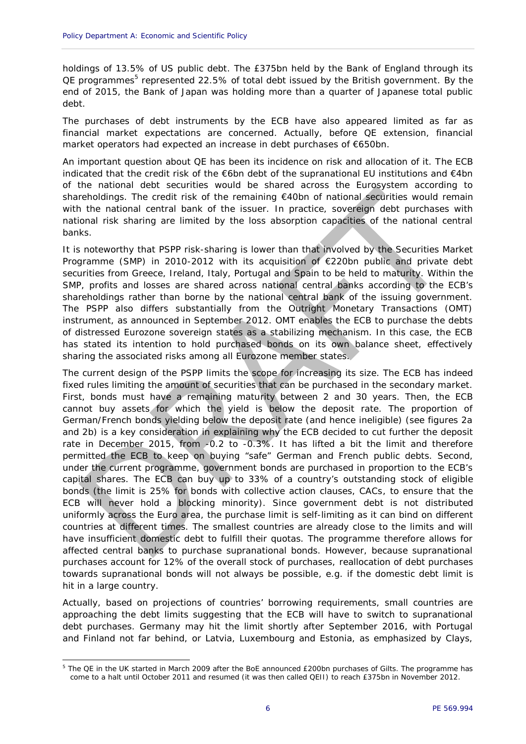holdings of 13.5% of US public debt. The £375bn held by the Bank of England through its QE programmes<sup>5</sup> represented 22.5% of total debt issued by the British government. By the end of 2015, the Bank of Japan was holding more than a quarter of Japanese total public debt.

The purchases of debt instruments by the ECB have also appeared limited as far as financial market expectations are concerned. Actually, before QE extension, financial market operators had expected an increase in debt purchases of €650bn.

An important question about QE has been its incidence on risk and allocation of it. The ECB indicated that the credit risk of the  $\epsilon$ 6bn debt of the supranational EU institutions and  $\epsilon$ 4bn of the national debt securities would be shared across the Eurosystem according to shareholdings. The credit risk of the remaining €40bn of national securities would remain with the national central bank of the issuer. In practice, sovereign debt purchases with national risk sharing are limited by the loss absorption capacities of the national central banks.

It is noteworthy that PSPP risk-sharing is lower than that involved by the Securities Market Programme (SMP) in 2010-2012 with its acquisition of €220bn public and private debt securities from Greece, Ireland, Italy, Portugal and Spain to be held to maturity. Within the SMP, profits and losses are shared across national central banks according to the ECB's shareholdings rather than borne by the national central bank of the issuing government. The PSPP also differs substantially from the Outright Monetary Transactions (OMT) instrument, as announced in September 2012. OMT enables the ECB to purchase the debts of distressed Eurozone sovereign states as a stabilizing mechanism. In this case, the ECB has stated its intention to hold purchased bonds on its own balance sheet, effectively sharing the associated risks among all Eurozone member states.

The current design of the PSPP limits the scope for increasing its size. The ECB has indeed fixed rules limiting the amount of securities that can be purchased in the secondary market. First, bonds must have a remaining maturity between 2 and 30 years. Then, the ECB cannot buy assets for which the yield is below the deposit rate. The proportion of German/French bonds yielding below the deposit rate (and hence ineligible) (see figures 2a and 2b) is a key consideration in explaining why the ECB decided to cut further the deposit rate in December 2015, from -0.2 to -0.3%. It has lifted a bit the limit and therefore permitted the ECB to keep on buying "safe" German and French public debts. Second, under the current programme, government bonds are purchased in proportion to the ECB's capital shares. The ECB can buy up to 33% of a country's outstanding stock of eligible bonds (the limit is 25% for bonds with collective action clauses, CACs, to ensure that the ECB will never hold a blocking minority). Since government debt is not distributed uniformly across the Euro area, the purchase limit is self-limiting as it can bind on different countries at different times. The smallest countries are already close to the limits and will have insufficient domestic debt to fulfill their quotas. The programme therefore allows for affected central banks to purchase supranational bonds. However, because supranational purchases account for 12% of the overall stock of purchases, reallocation of debt purchases towards supranational bonds will not always be possible, e.g. if the domestic debt limit is hit in a large country.

Actually, based on projections of countries' borrowing requirements, small countries are approaching the debt limits suggesting that the ECB will have to switch to supranational debt purchases. Germany may hit the limit shortly after September 2016, with Portugal and Finland not far behind, or Latvia, Luxembourg and Estonia, as emphasized by Clays,

<sup>&</sup>lt;sup>5</sup> The QE in the UK started in March 2009 after the BoE announced £200bn purchases of Gilts. The programme has come to a halt until October 2011 and resumed (it was then called QEII) to reach £375bn in November 2012.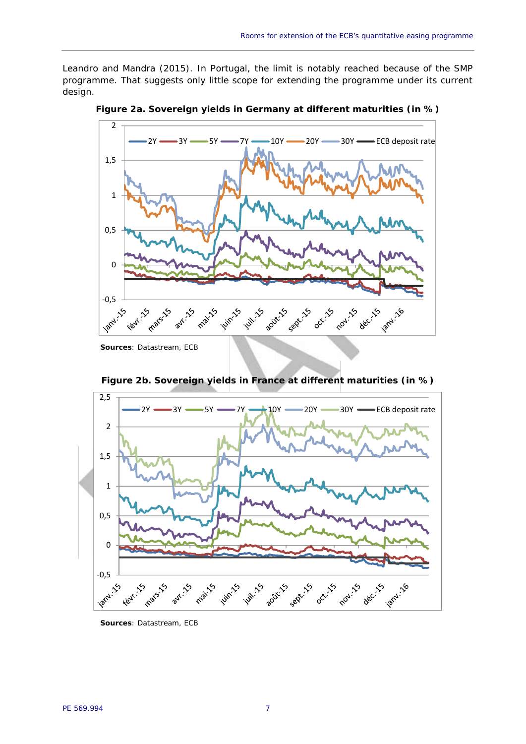Leandro and Mandra (2015). In Portugal, the limit is notably reached because of the SMP programme. That suggests only little scope for extending the programme under its current design.



**Figure 2a. Sovereign yields in Germany at different maturities (in %)**

*Sources*: Datastream, ECB



**Figure 2b. Sovereign yields in France at different maturities (in %)**

*Sources*: Datastream, ECB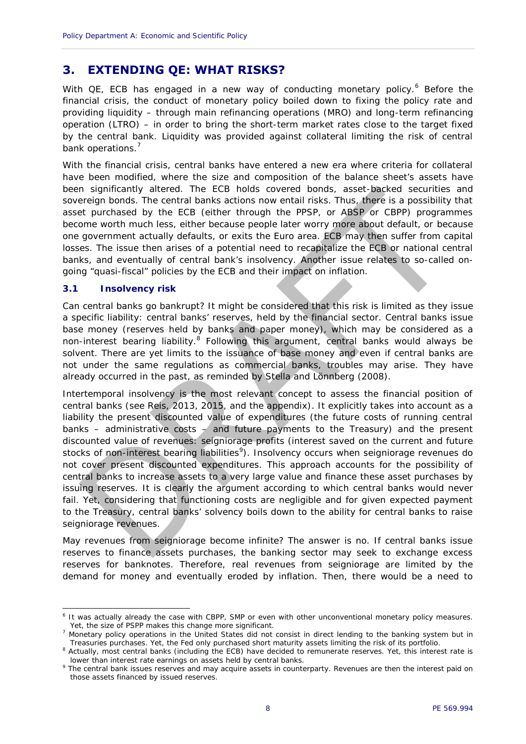## **3. EXTENDING QE: WHAT RISKS?**

With QE, ECB has engaged in a new way of conducting monetary policy.<sup>6</sup> Before the financial crisis, the conduct of monetary policy boiled down to fixing the policy rate and providing liquidity – through main refinancing operations (MRO) and long-term refinancing operation (LTRO) – in order to bring the short-term market rates close to the target fixed by the central bank. Liquidity was provided against collateral limiting the risk of central bank operations.<sup>7</sup>

With the financial crisis, central banks have entered a new era where criteria for collateral have been modified, where the size and composition of the balance sheet's assets have been significantly altered. The ECB holds covered bonds, asset-backed securities and sovereign bonds. The central banks actions now entail risks. Thus, there is a possibility that asset purchased by the ECB (either through the PPSP, or ABSP or CBPP) programmes become worth much less, either because people later worry more about default, or because one government actually defaults, or exits the Euro area. ECB may then suffer from capital losses. The issue then arises of a potential need to recapitalize the ECB or national central banks, and eventually of central bank's insolvency. Another issue relates to so-called on going "quasi-fiscal" policies by the ECB and their impact on inflation.

#### **3.1 Insolvency risk**

Can central banks go bankrupt? It might be considered that this risk is limited as they issue a specific liability: central banks' reserves, held by the financial sector. Central banks issue base money (reserves held by banks and paper money), which may be considered as a non-interest bearing liability.<sup>8</sup> Following this argument, central banks would always be solvent. There are yet limits to the issuance of base money and even if central banks are not under the same regulations as commercial banks, troubles may arise. They have already occurred in the past, as reminded by Stella and Lönnberg (2008).

Intertemporal insolvency is the most relevant concept to assess the financial position of central banks (see Reis, 2013, 2015, and the appendix). It explicitly takes into account as a liability the present discounted value of expenditures (the future costs of running central banks – administrative costs  $-$  and future payments to the Treasury) and the present discounted value of revenues: seigniorage profits (interest saved on the current and future stocks of non-interest bearing liabilities<sup>9</sup>). Insolvency occurs when seigniorage revenues do not cover present discounted expenditures. This approach accounts for the possibility of central banks to increase assets to a very large value and finance these asset purchases by issuing reserves. It is clearly the argument according to which central banks would never fail. Yet, considering that functioning costs are negligible and for given expected payment to the Treasury, central banks' solvency boils down to the ability for central banks to raise seigniorage revenues.

May revenues from seigniorage become infinite? The answer is no. If central banks issue reserves to finance assets purchases, the banking sector may seek to exchange excess reserves for banknotes. Therefore, *real* revenues from seigniorage are limited by the demand for money and eventually eroded by inflation. Then, there would be a need to

<sup>6</sup> It was actually already the case with CBPP, SMP or even with other unconventional monetary policy measures. Yet, the size of PSPP makes this change more significant.

<sup>&</sup>lt;sup>7</sup> Monetary policy operations in the United States did not consist in direct lending to the banking system but in Treasuries purchases. Yet, the Fed only purchased short maturity assets limiting the risk of its portfolio.

<sup>&</sup>lt;sup>8</sup> Actually, most central banks (including the ECB) have decided to remunerate reserves. Yet, this interest rate is lower than interest rate earnings on assets held by central banks.

<sup>&</sup>lt;sup>9</sup> The central bank issues reserves and may acquire assets in counterparty. Revenues are then the interest paid on those assets financed by issued reserves.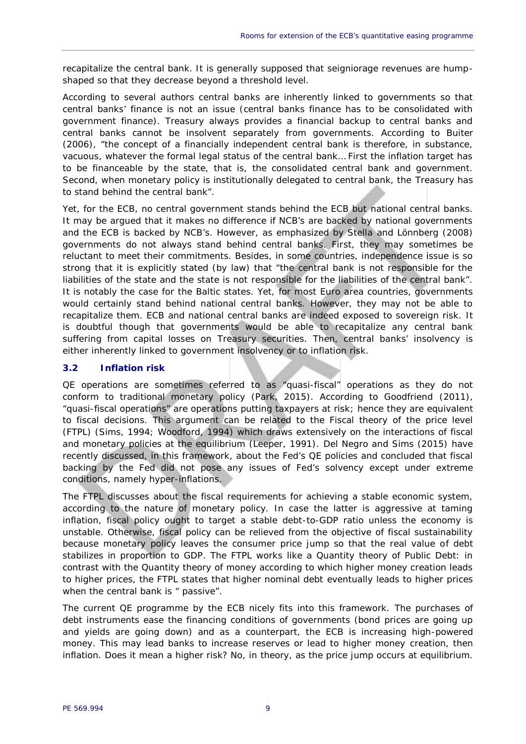recapitalize the central bank. It is generally supposed that seigniorage revenues are hump shaped so that they decrease beyond a threshold level.

According to several authors central banks are inherently linked to governments so that central banks' finance is not an issue (central banks finance has to be consolidated with government finance). Treasury always provides a financial backup to central banks and central banks cannot be insolvent separately from governments. According to Buiter (2006), "the concept of a financially independent central bank is therefore, in substance, vacuous, whatever the formal legal status of the central bank… First the inflation target has to be financeable by the state, that is, the consolidated central bank and government. Second, when monetary policy is institutionally delegated to central bank, the Treasury has to stand behind the central bank".

Yet, for the ECB, no central government stands behind the ECB but national central banks. It may be argued that it makes no difference if NCB's are backed by national governments and the ECB is backed by NCB's. However, as emphasized by Stella and Lönnberg (2008) governments do not always stand behind central banks. First, they may sometimes be reluctant to meet their commitments. Besides, in some countries, independence issue is so strong that it is explicitly stated (by law) that "the central bank is not responsible for the liabilities of the state and the state is not responsible for the liabilities of the central bank". It is notably the case for the Baltic states. Yet, for most Euro area countries, governments would certainly stand behind national central banks. However, they may not be able to recapitalize them. ECB and national central banks are indeed exposed to sovereign risk. It is doubtful though that governments would be able to recapitalize any central bank suffering from capital losses on Treasury securities. Then, central banks' insolvency is either inherently linked to government insolvency or to inflation risk.

### **3.2 Inflation risk**

QE operations are sometimes referred to as "quasi-fiscal" operations as they do not conform to traditional monetary policy (Park, 2015). According to Goodfriend (2011), "quasi-fiscal operations" are operations putting taxpayers at risk; hence they are equivalent to fiscal decisions. This argument can be related to the Fiscal theory of the price level (FTPL) (Sims, 1994; Woodford, 1994) which draws extensively on the interactions of fiscal and monetary policies at the equilibrium (Leeper, 1991). Del Negro and Sims (2015) have recently discussed, in this framework, about the Fed's QE policies and concluded that fiscal backing by the Fed did not pose any issues of Fed's solvency except under extreme conditions, namely hyper-inflations.

The FTPL discusses about the fiscal requirements for achieving a stable economic system, according to the nature of monetary policy. In case the latter is aggressive at taming inflation, fiscal policy ought to target a stable debt-to-GDP ratio unless the economy is unstable. Otherwise, fiscal policy can be relieved from the objective of fiscal sustainability because monetary policy leaves the consumer price jump so that the real value of debt stabilizes in proportion to GDP. The FTPL works like a Quantity theory of Public Debt: in contrast with the Quantity theory of money according to which higher money creation leads to higher prices, the FTPL states that higher nominal debt eventually leads to higher prices when the central bank is " passive".

The current QE programme by the ECB nicely fits into this framework. The purchases of debt instruments ease the financing conditions of governments (bond prices are going up and yields are going down) and as a counterpart, the ECB is increasing high-powered money. This may lead banks to increase reserves or lead to higher money creation, then inflation. Does it mean a higher risk? No, in *theory*, as the price jump occurs at equilibrium.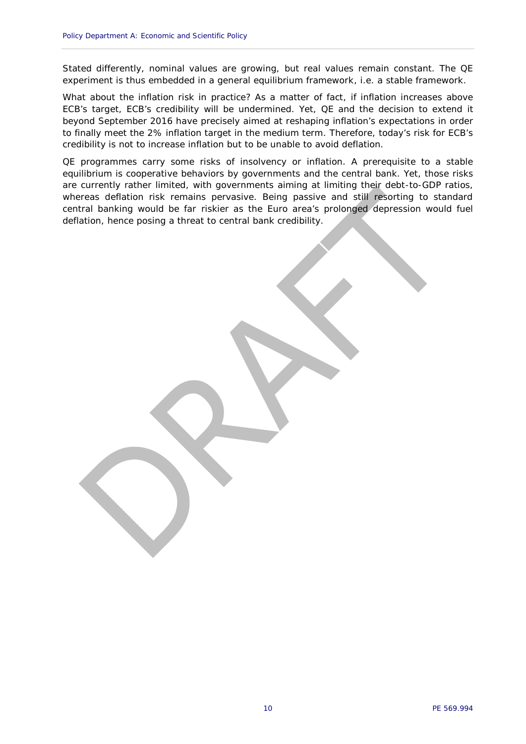Stated differently, nominal values are growing, but *real* values remain constant. The QE experiment is thus embedded in a general equilibrium framework, i.e. a stable framework.

What about the inflation risk in *practice*? As a matter of fact, if inflation increases above ECB's target, ECB's credibility will be undermined. Yet, QE and the decision to extend it beyond September 2016 have precisely aimed at reshaping inflation's expectations in order to finally meet the 2% inflation target in the medium term. Therefore, today's risk for ECB's credibility is *not* to increase inflation but to be unable to avoid deflation.

QE programmes carry some risks of insolvency or inflation. A prerequisite to a stable equilibrium is cooperative behaviors by governments and the central bank. Yet, those risks are currently rather limited, with governments aiming at limiting their debt-to-GDP ratios, whereas deflation risk remains pervasive. Being passive and still resorting to standard central banking would be far riskier as the Euro area's prolonged depression would fuel deflation, hence posing a threat to central bank credibility.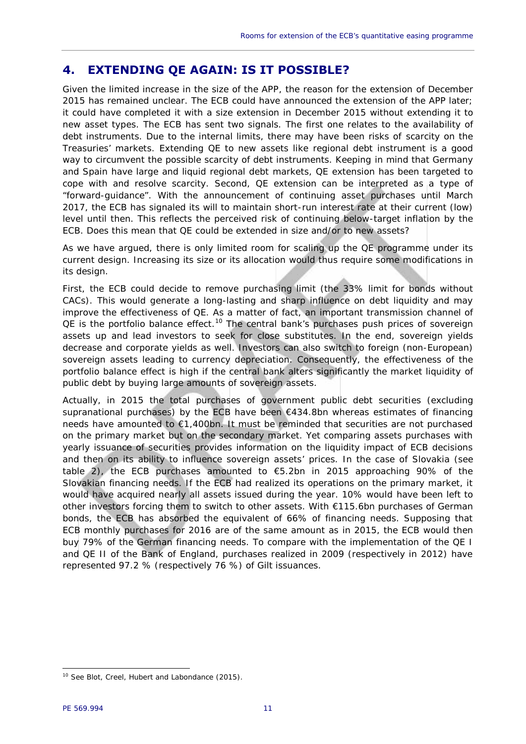# **4. EXTENDING QE AGAIN: IS IT POSSIBLE?**

Given the limited increase in the size of the APP, the reason for the extension of December 2015 has remained unclear. The ECB could have announced the extension of the APP later; it could have completed it with a size extension in December 2015 without extending it to new asset types. The ECB has sent two signals. The first one relates to the availability of debt instruments. Due to the internal limits, there may have been risks of scarcity on the Treasuries' markets. Extending QE to new assets like regional debt instrument is a good way to circumvent the possible scarcity of debt instruments. Keeping in mind that Germany and Spain have large and liquid regional debt markets, QE extension has been targeted to cope with and resolve scarcity. Second, QE extension can be interpreted as a type of "forward-guidance". With the announcement of continuing asset purchases until March 2017, the ECB has signaled its will to maintain short-run interest rate at their current (low) level until then. This reflects the perceived risk of continuing below-target inflation by the ECB. Does this mean that QE could be extended in size and/or to new assets?

As we have argued, there is only limited room for scaling up the QE programme under its current design. Increasing its size or its allocation would thus require some modifications in its design.

First, the ECB could decide to remove purchasing limit (the 33% limit for bonds without CACs). This would generate a long-lasting and sharp influence on debt liquidity and may improve the effectiveness of QE. As a matter of fact, an important transmission channel of  $QE$  is the portfolio balance effect.<sup>10</sup> The central bank's purchases push prices of sovereign assets up and lead investors to seek for close substitutes. In the end, sovereign yields decrease and corporate yields as well. Investors can also switch to foreign (non-European) sovereign assets leading to currency depreciation. Consequently, the effectiveness of the portfolio balance effect is high if the central bank alters significantly the market liquidity of public debt by buying large amounts of sovereign assets.

Actually, in 2015 the total purchases of government public debt securities (excluding supranational purchases) by the ECB have been  $€434.8$ bn whereas estimates of financing needs have amounted to  $\epsilon$ 1,400bn. It must be reminded that securities are not purchased on the primary market but on the secondary market. Yet comparing assets purchases with yearly issuance of securities provides information on the liquidity impact of ECB decisions and then on its ability to influence sovereign assets' prices. In the case of Slovakia (see table 2), the ECB purchases amounted to €5.2bn in 2015 approaching 90% of the Slovakian financing needs. If the ECB had realized its operations on the primary market, it would have acquired nearly all assets issued during the year. 10% would have been left to other investors forcing them to switch to other assets. With €115.6bn purchases of German bonds, the ECB has absorbed the equivalent of 66% of financing needs. Supposing that ECB monthly purchases for 2016 are of the same amount as in 2015, the ECB would then buy 79% of the German financing needs. To compare with the implementation of the QE I and QE II of the Bank of England, purchases realized in 2009 (respectively in 2012) have represented 97.2 % (respectively 76 %) of Gilt issuances.

<sup>&</sup>lt;sup>10</sup> See Blot, Creel, Hubert and Labondance (2015).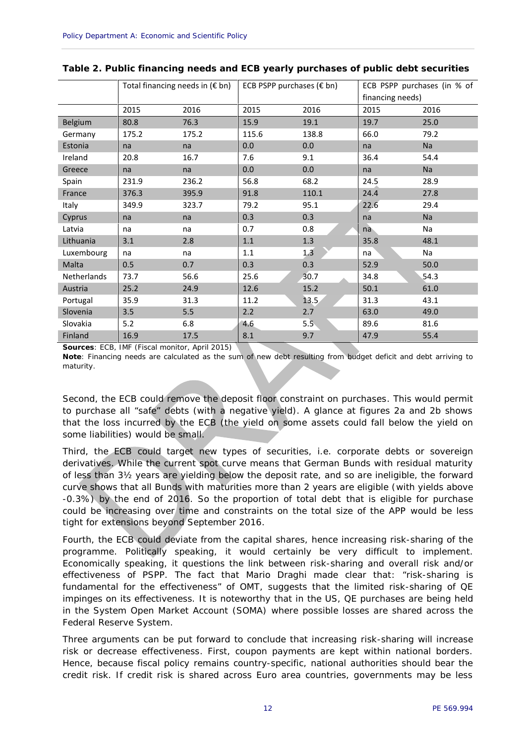|             | Total financing needs in $(\epsilon$ bn) |       | ECB PSPP purchases $(\epsilon$ bn) |       | ECB PSPP purchases (in % of<br>financing needs) |      |
|-------------|------------------------------------------|-------|------------------------------------|-------|-------------------------------------------------|------|
|             | 2015                                     | 2016  | 2015                               | 2016  | 2015                                            | 2016 |
| Belgium     | 80.8                                     | 76.3  | 15.9                               | 19.1  | 19.7                                            | 25.0 |
| Germany     | 175.2                                    | 175.2 | 115.6                              | 138.8 | 66.0                                            | 79.2 |
| Estonia     | na                                       | na    | 0.0                                | 0.0   | na                                              | Na   |
| Ireland     | 20.8                                     | 16.7  | 7.6                                | 9.1   | 36.4                                            | 54.4 |
| Greece      | na                                       | na    | 0.0                                | 0.0   | na                                              | Na   |
| Spain       | 231.9                                    | 236.2 | 56.8                               | 68.2  | 24.5                                            | 28.9 |
| France      | 376.3                                    | 395.9 | 91.8                               | 110.1 | 24.4                                            | 27.8 |
| Italy       | 349.9                                    | 323.7 | 79.2                               | 95.1  | 22.6                                            | 29.4 |
| Cyprus      | na                                       | na    | 0.3                                | 0.3   | na                                              | Na   |
| Latvia      | na                                       | na    | 0.7                                | 0.8   | na                                              | Na   |
| Lithuania   | 3.1                                      | 2.8   | $1.1\,$                            | 1.3   | 35.8                                            | 48.1 |
| Luxembourg  | na                                       | na    | $1.1\,$                            | 1.3   | na                                              | Na   |
| Malta       | 0.5                                      | 0.7   | 0.3                                | 0.3   | 52.9                                            | 50.0 |
| Netherlands | 73.7                                     | 56.6  | 25.6                               | 30.7  | 34.8                                            | 54.3 |
| Austria     | 25.2                                     | 24.9  | 12.6                               | 15.2  | 50.1                                            | 61.0 |
| Portugal    | 35.9                                     | 31.3  | 11.2                               | 13.5  | 31.3                                            | 43.1 |
| Slovenia    | 3.5                                      | 5.5   | 2.2                                | 2.7   | 63.0                                            | 49.0 |
| Slovakia    | 5.2                                      | 6.8   | 4.6                                | 5.5   | 89.6                                            | 81.6 |
| Finland     | 16.9                                     | 17.5  | 8.1                                | 9.7   | 47.9                                            | 55.4 |

**Table 2. Public financing needs and ECB yearly purchases of public debt securities**

*Sources: ECB, IMF (Fiscal monitor, April 2015)*

*Note:* Financing needs are calculated as the sum of new debt resulting from budget deficit and debt arriving to maturity.

Second, the ECB could remove the deposit floor constraint on purchases. This would permit to purchase all "safe" debts (with a negative yield). A glance at figures 2a and 2b shows that the loss incurred by the ECB (the yield on some assets could fall below the yield on some liabilities) would be small.

Third, the ECB could target new types of securities, i.e. corporate debts or sovereign derivatives. While the current spot curve means that German Bunds with residual maturity of less than 3½ years are yielding below the deposit rate, and so are ineligible, the *forward* curve shows that all Bunds with maturities more than 2 years are eligible (with yields above -0.3%) by the end of 2016. So the proportion of total debt that is eligible for purchase could be increasing over time and constraints on the total size of the APP would be less tight for extensions beyond September 2016.

Fourth, the ECB could deviate from the capital shares, hence increasing risk-sharing of the programme. Politically speaking, it would certainly be very difficult to implement. Economically speaking, it questions the link between risk-sharing and overall risk and/or effectiveness of PSPP. The fact that Mario Draghi made clear that: "risk-sharing is fundamental for the effectiveness" of OMT, suggests that the limited risk-sharing of QE impinges on its effectiveness. It is noteworthy that in the US, QE purchases are being held in the System Open Market Account (SOMA) where possible losses are shared across the Federal Reserve System.

Three arguments can be put forward to conclude that increasing risk-sharing will increase risk or decrease effectiveness. First, coupon payments are kept within national borders. Hence, because fiscal policy remains country-specific, national authorities should bear the credit risk. If credit risk is shared across Euro area countries, governments may be less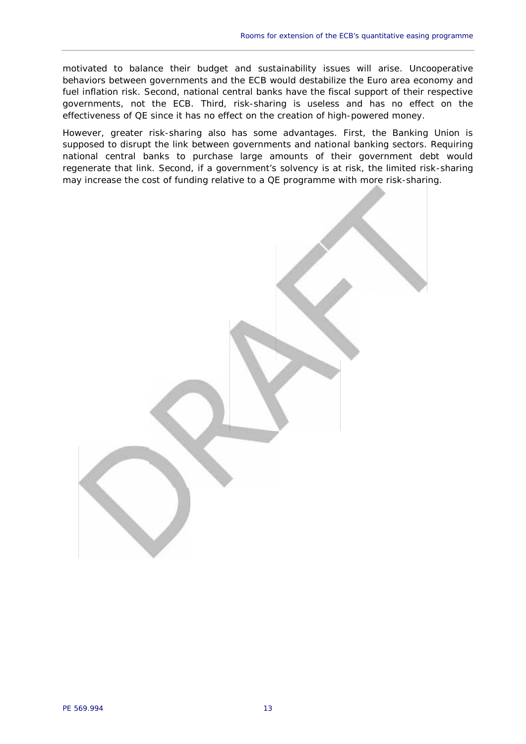motivated to balance their budget and sustainability issues will arise. Uncooperative behaviors between governments and the ECB would destabilize the Euro area economy and fuel inflation risk. Second, national central banks have the fiscal support of their respective governments, not the ECB. Third, risk-sharing is useless and has no effect on the effectiveness of QE since it has no effect on the creation of high-powered money.

However, greater risk-sharing also has some advantages. First, the Banking Union is supposed to disrupt the link between governments and national banking sectors. Requiring national central banks to purchase large amounts of their government debt would regenerate that link. Second, if a government's solvency is at risk, the limited risk-sharing may increase the cost of funding relative to a QE programme with more risk-sharing.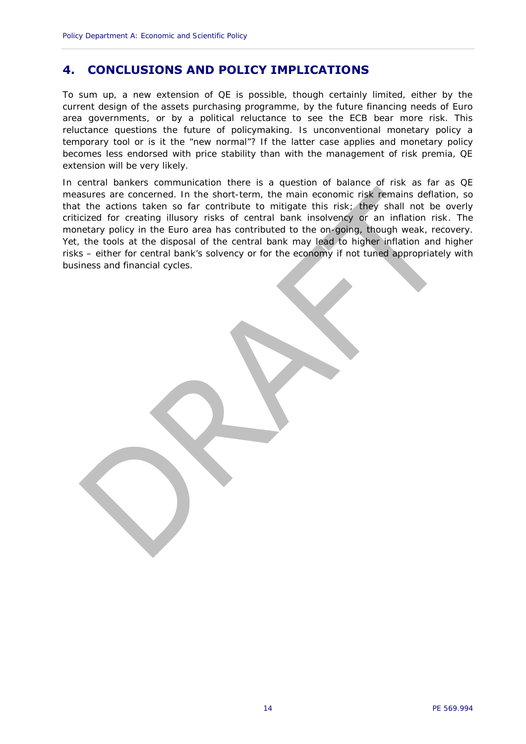# **4. CONCLUSIONS AND POLICY IMPLICATIONS**

To sum up, a new extension of QE is possible, though certainly limited, either by the current design of the assets purchasing programme, by the future financing needs of Euro area governments, or by a political reluctance to see the ECB bear more risk. This reluctance questions the future of policymaking. Is unconventional monetary policy a temporary tool or is it the "new normal"? If the latter case applies and monetary policy becomes less endorsed with price stability than with the management of risk premia, QE extension will be very likely.

In central bankers communication there is a question of balance of risk as far as QE measures are concerned. In the short-term, the main economic risk remains deflation, so that the actions taken so far contribute to mitigate this risk; they shall not be overly criticized for creating illusory risks of central bank insolvency or an inflation risk. The monetary policy in the Euro area has contributed to the on-going, though weak, recovery. Yet, the tools at the disposal of the central bank may lead to higher inflation and higher risks – either for central bank's solvency or for the economy if not tuned appropriately with business and financial cycles.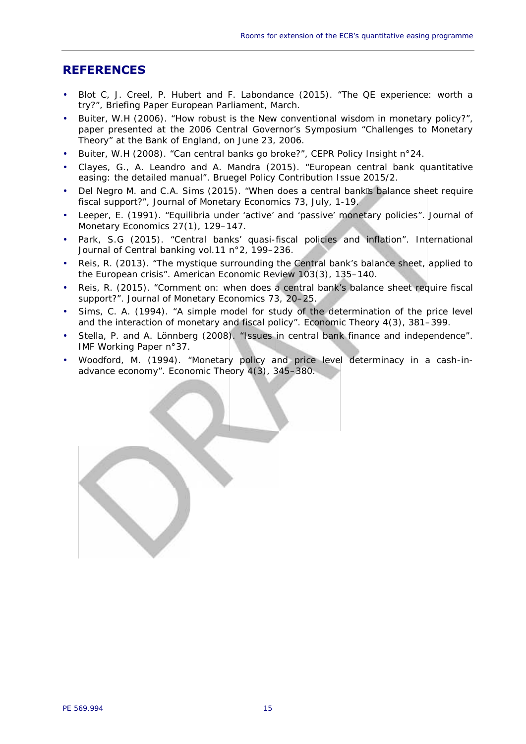### **REFERENCES**

- Blot C, J. Creel, P. Hubert and F. Labondance (2015). "The QE experience: worth a try?", Briefing Paper European Parliament, March.
- Buiter, W.H (2006). "How robust is the New conventional wisdom in monetary policy?", paper presented at the 2006 Central Governor's Symposium "Challenges to Monetary Theory" at the Bank of England, on June 23, 2006.
- Buiter, W.H (2008). "Can central banks go broke?", CEPR Policy Insight n°24.
- Clayes, G., A. Leandro and A. Mandra (2015). "European central bank quantitative easing: the detailed manual". *Bruegel Policy Contribution* Issue 2015/2.
- Del Negro M. and C.A. Sims (2015). "When does a central bank s balance sheet require fiscal support?", *Journal of Monetary Economics* 73, July, 1-19.
- Leeper, E. (1991). "Equilibria under 'active' and 'passive' monetary policies". *Journal of Monetary Economics* 27(1), 129–147.
- Park, S.G (2015). "Central banks' quasi-fiscal policies and inflation". *International Journal of Central banking* vol.11 n°2, 199–236.
- Reis, R. (2013). "The mystique surrounding the Central bank's balance sheet, applied to the European crisis". *American Economic Review* 103(3), 135–140.
- Reis, R. (2015). "Comment on: when does a central bank's balance sheet require fiscal support?". *Journal of Monetary Economics* 73, 20–25.
- Sims, C. A. (1994). "A simple model for study of the determination of the price level and the interaction of monetary and fiscal policy". *Economic Theory* 4(3), 381–399.
- Stella, P. and A. Lönnberg (2008). "Issues in central bank finance and independence". *IMF Working Paper* n°37.
- Woodford, M. (1994). "Monetary policy and price level determinacy in a cash-in advance economy". *Economic Theory* 4(3), 345–380.